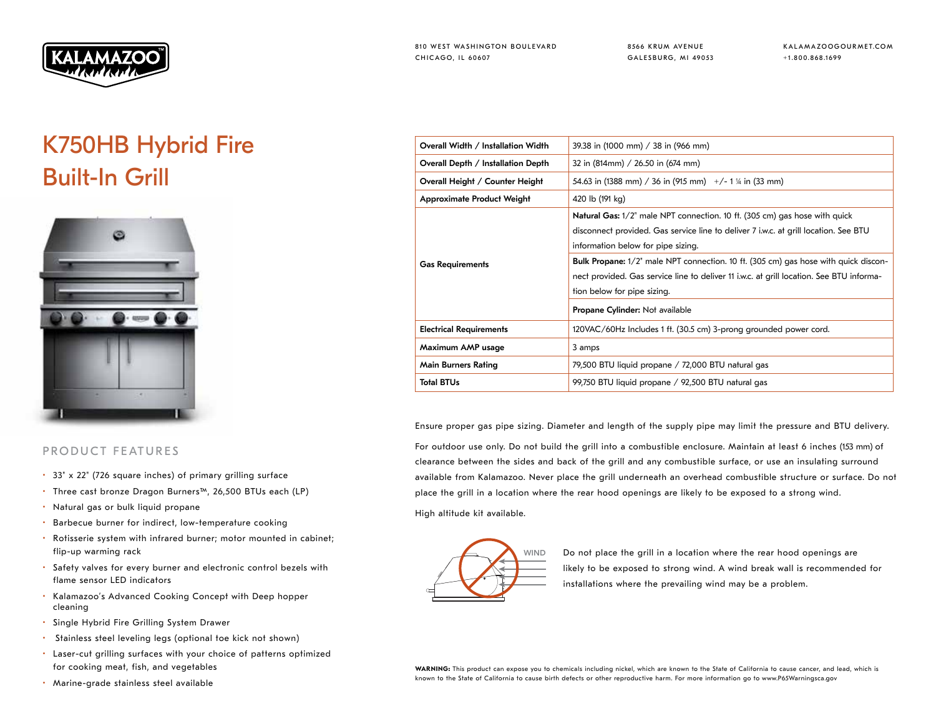

8566 KRUM AVENUE GALESBURG, MI 49053 KALAMAZOOGOURMET.COM +1.800.868.1699

## K750HB Hybrid Fire Built-In Grill



## PRODUCT FEATURES

- 33" x 22" (726 square inches) of primary grilling surface
- Three cast bronze Dragon Burners™, 26,500 BTUs each (LP)
- Natural gas or bulk liquid propane
- Barbecue burner for indirect, low-temperature cooking
- Rotisserie system with infrared burner; motor mounted in cabinet; flip-up warming rack
- Safety valves for every burner and electronic control bezels with flame sensor LED indicators
- Kalamazoo's Advanced Cooking Concept with Deep hopper cleaning
- Single Hybrid Fire Grilling System Drawer
- Stainless steel leveling legs (optional toe kick not shown)
- Laser-cut grilling surfaces with your choice of patterns optimized for cooking meat, fish, and vegetables
- Marine-grade stainless steel available

| Overall Width / Installation Width | 39.38 in (1000 mm) / 38 in (966 mm)                                                        |
|------------------------------------|--------------------------------------------------------------------------------------------|
| Overall Depth / Installation Depth | 32 in (814mm) / 26.50 in (674 mm)                                                          |
| Overall Height / Counter Height    | 54.63 in (1388 mm) / 36 in (915 mm) $+/- 1$ ¼ in (33 mm)                                   |
| <b>Approximate Product Weight</b>  | 420 lb (191 kg)                                                                            |
| <b>Gas Requirements</b>            | <b>Natural Gas:</b> 1/2" male NPT connection. 10 ft. (305 cm) gas hose with quick          |
|                                    | disconnect provided. Gas service line to deliver 7 i.w.c. at grill location. See BTU       |
|                                    | information below for pipe sizing.                                                         |
|                                    | <b>Bulk Propane:</b> 1/2" male NPT connection. 10 ft. (305 cm) gas hose with quick discon- |
|                                    | nect provided. Gas service line to deliver 11 i.w.c. at grill location. See BTU informa-   |
|                                    | tion below for pipe sizing.                                                                |
|                                    | Propane Cylinder: Not available                                                            |
| <b>Electrical Requirements</b>     | 120VAC/60Hz Includes 1 ft. (30.5 cm) 3-prong grounded power cord.                          |
| Maximum AMP usage                  | 3 amps                                                                                     |
| <b>Main Burners Rating</b>         | 79,500 BTU liquid propane / 72,000 BTU natural gas                                         |
| <b>Total BTUs</b>                  | 99,750 BTU liquid propane / 92,500 BTU natural gas                                         |
|                                    |                                                                                            |

Ensure proper gas pipe sizing. Diameter and length of the supply pipe may limit the pressure and BTU delivery.

For outdoor use only. Do not build the grill into a combustible enclosure. Maintain at least 6 inches (153 mm) of clearance between the sides and back of the grill and any combustible surface, or use an insulating surround available from Kalamazoo. Never place the grill underneath an overhead combustible structure or surface. Do not place the grill in a location where the rear hood openings are likely to be exposed to a strong wind.

High altitude kit available.



WIND Do not place the grill in a location where the rear hood openings are likely to be exposed to strong wind. A wind break wall is recommended for installations where the prevailing wind may be a problem.

**WARNING:** This product can expose you to chemicals including nickel, which are known to the State of California to cause cancer, and lead, which is known to the State of California to cause birth defects or other reproductive harm. For more information go to www.P65Warningsca.gov